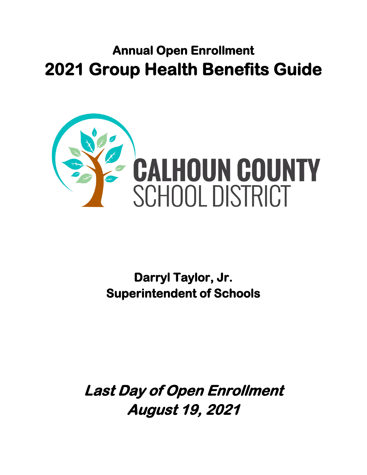## **Annual Open Enrollment 2021 Group Health Benefits Guide**



**Darryl Taylor, Jr. Superintendent of Schools** 

**Last Day of Open Enrollment August 19, 2021**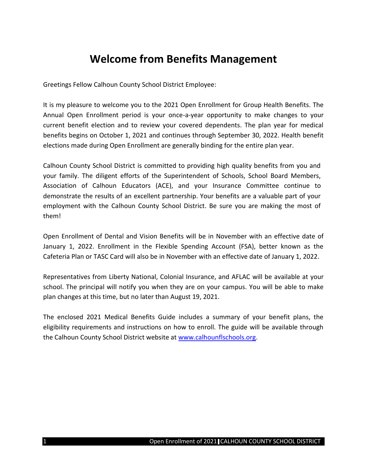#### **Welcome from Benefits Management**

Greetings Fellow Calhoun County School District Employee:

It is my pleasure to welcome you to the 2021 Open Enrollment for Group Health Benefits. The Annual Open Enrollment period is your once-a-year opportunity to make changes to your current benefit election and to review your covered dependents. The plan year for medical benefits begins on October 1, 2021 and continues through September 30, 2022. Health benefit elections made during Open Enrollment are generally binding for the entire plan year.

Calhoun County School District is committed to providing high quality benefits from you and your family. The diligent efforts of the Superintendent of Schools, School Board Members, Association of Calhoun Educators (ACE), and your Insurance Committee continue to demonstrate the results of an excellent partnership. Your benefits are a valuable part of your employment with the Calhoun County School District. Be sure you are making the most of them!

Open Enrollment of Dental and Vision Benefits will be in November with an effective date of January 1, 2022. Enrollment in the Flexible Spending Account (FSA), better known as the Cafeteria Plan or TASC Card will also be in November with an effective date of January 1, 2022.

Representatives from Liberty National, Colonial Insurance, and AFLAC will be available at your school. The principal will notify you when they are on your campus. You will be able to make plan changes at this time, but no later than August 19, 2021.

The enclosed 2021 Medical Benefits Guide includes a summary of your benefit plans, the eligibility requirements and instructions on how to enroll. The guide will be available through the Calhoun County School District website at [www.calhounflschools.org.](http://www.calhounflschools.org/)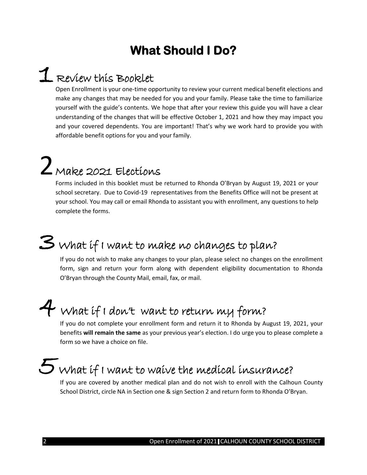## **What Should I Do?**

## 1 Review this Booklet

Open Enrollment is your one-time opportunity to review your current medical benefit elections and make any changes that may be needed for you and your family. Please take the time to familiarize yourself with the guide's contents. We hope that after your review this guide you will have a clear understanding of the changes that will be effective October 1, 2021 and how they may impact you and your covered dependents. You are important! That's why we work hard to provide you with affordable benefit options for you and your family.

# $2$  Make 2021 Elections

Forms included in this booklet must be returned to Rhonda O'Bryan by August 19, 2021 or your school secretary. Due to Covid-19 representatives from the Benefits Office will not be present at your school. You may call or email Rhonda to assistant you with enrollment, any questions to help complete the forms.

## 3 What if I want to make no changes to plan?

If you do not wish to make any changes to your plan, please select no changes on the enrollment form, sign and return your form along with dependent eligibility documentation to Rhonda O'Bryan through the County Mail, email, fax, or mail.

## 4 What if I don't want to return my form?

If you do not complete your enrollment form and return it to Rhonda by August 19, 2021, your benefits **will remain the same** as your previous year's election. I do urge you to please complete a form so we have a choice on file.

## 5 What if I want to waive the medical insurance?

If you are covered by another medical plan and do not wish to enroll with the Calhoun County School District, circle NA in Section one & sign Section 2 and return form to Rhonda O'Bryan.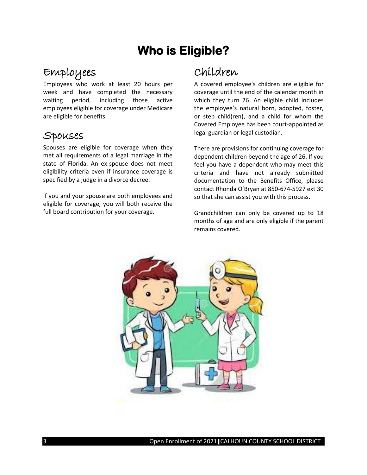## **Who is Eligible?**

#### Employees

Employees who work at least 20 hours per week and have completed the necessary waiting period, including those active employees eligible for coverage under Medicare are eligible for benefits.

#### Spouses

Spouses are eligible for coverage when they met all requirements of a legal marriage in the state of Florida. An ex-spouse does not meet eligibility criteria even if insurance coverage is specified by a judge in a divorce decree.

If you and your spouse are both employees and eligible for coverage, you will both receive the full board contribution for your coverage.

### Children

A covered employee's children are eligible for coverage until the end of the calendar month in which they turn 26. An eligible child includes the employee's natural born, adopted, foster, or step child(ren), and a child for whom the Covered Employee has been court-appointed as legal guardian or legal custodian.

There are provisions for continuing coverage for dependent children beyond the age of 26. If you feel you have a dependent who may meet this criteria and have not already submitted documentation to the Benefits Office, please contact Rhonda O'Bryan at 850-674-5927 ext 30 so that she can assist you with this process.

Grandchildren can only be covered up to 18 months of age and are only eligible if the parent remains covered.

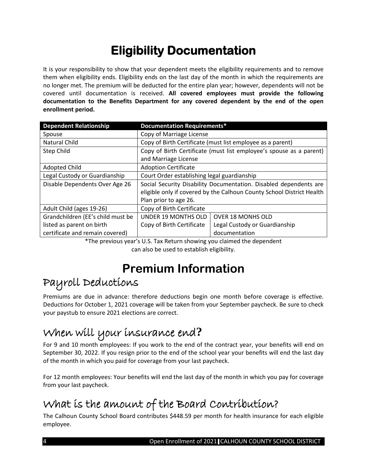## **Eligibility Documentation**

It is your responsibility to show that your dependent meets the eligibility requirements and to remove them when eligibility ends. Eligibility ends on the last day of the month in which the requirements are no longer met. The premium will be deducted for the entire plan year; however, dependents will not be covered until documentation is received. **All covered employees must provide the following documentation to the Benefits Department for any covered dependent by the end of the open enrollment period.**

| <b>Dependent Relationship</b>     | <b>Documentation Requirements*</b>                                    |                               |
|-----------------------------------|-----------------------------------------------------------------------|-------------------------------|
| Spouse                            | Copy of Marriage License                                              |                               |
| Natural Child                     | Copy of Birth Certificate (must list employee as a parent)            |                               |
| Step Child                        | Copy of Birth Certificate (must list employee's spouse as a parent)   |                               |
|                                   | and Marriage License                                                  |                               |
| <b>Adopted Child</b>              | <b>Adoption Certificate</b>                                           |                               |
| Legal Custody or Guardianship     | Court Order establishing legal guardianship                           |                               |
| Disable Dependents Over Age 26    | Social Security Disability Documentation. Disabled dependents are     |                               |
|                                   | eligible only if covered by the Calhoun County School District Health |                               |
|                                   | Plan prior to age 26.                                                 |                               |
| Adult Child (ages 19-26)          | Copy of Birth Certificate                                             |                               |
| Grandchildren (EE's child must be | UNDER 19 MONTHS OLD                                                   | <b>OVER 18 MONHS OLD</b>      |
| listed as parent on birth         | Copy of Birth Certificate                                             | Legal Custody or Guardianship |
| certificate and remain covered)   |                                                                       | documentation                 |

\*The previous year's U.S. Tax Return showing you claimed the dependent can also be used to establish eligibility.

## **Premium Information**

### Payroll Deductions

Premiums are due in advance: therefore deductions begin one month before coverage is effective. Deductions for October 1, 2021 coverage will be taken from your September paycheck. Be sure to check your paystub to ensure 2021 elections are correct.

## When will your insurance end**?**

For 9 and 10 month employees: If you work to the end of the contract year, your benefits will end on September 30, 2022. If you resign prior to the end of the school year your benefits will end the last day of the month in which you paid for coverage from your last paycheck.

For 12 month employees: Your benefits will end the last day of the month in which you pay for coverage from your last paycheck.

## What is the amount of the Board Contribution?

The Calhoun County School Board contributes \$448.59 per month for health insurance for each eligible employee.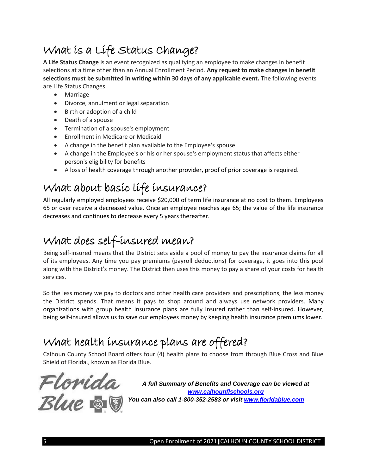## What is a Life Status Change?

**A Life Status Change** is an event recognized as qualifying an employee to make changes in benefit selections at a time other than an Annual Enrollment Period. **Any request to make changes in benefit selections must be submitted in writing within 30 days of any applicable event.** The following events are Life Status Changes.

- Marriage
- Divorce, annulment or legal separation
- Birth or adoption of a child
- Death of a spouse
- Termination of a spouse's employment
- Enrollment in Medicare or Medicaid
- A change in the benefit plan available to the Employee's spouse
- A change in the Employee's or his or her spouse's employment status that affects either person's eligibility for benefits
- A loss of health coverage through another provider, proof of prior coverage is required.

### What about basic life insurance?

All regularly employed employees receive \$20,000 of term life insurance at no cost to them. Employees 65 or over receive a decreased value. Once an employee reaches age 65; the value of the life insurance decreases and continues to decrease every 5 years thereafter.

### What does self-insured mean?

Being self-insured means that the District sets aside a pool of money to pay the insurance claims for all of its employees. Any time you pay premiums (payroll deductions) for coverage, it goes into this pool along with the District's money. The District then uses this money to pay a share of your costs for health services.

So the less money we pay to doctors and other health care providers and prescriptions, the less money the District spends. That means it pays to shop around and always use network providers. Many organizations with group health insurance plans are fully insured rather than self-insured. However, being self-insured allows us to save our employees money by keeping health insurance premiums lower.

### What health insurance plans are offered?

Calhoun County School Board offers four (4) health plans to choose from through Blue Cross and Blue Shield of Florida., known as Florida Blue.



*A full Summary of Benefits and Coverage can be viewed at [www.calhounflschools.org](http://www.calhounflschools.org/) You can also call 1-800-352-2583 or visit [www.floridablue.com](http://www.floridablue.com/)*